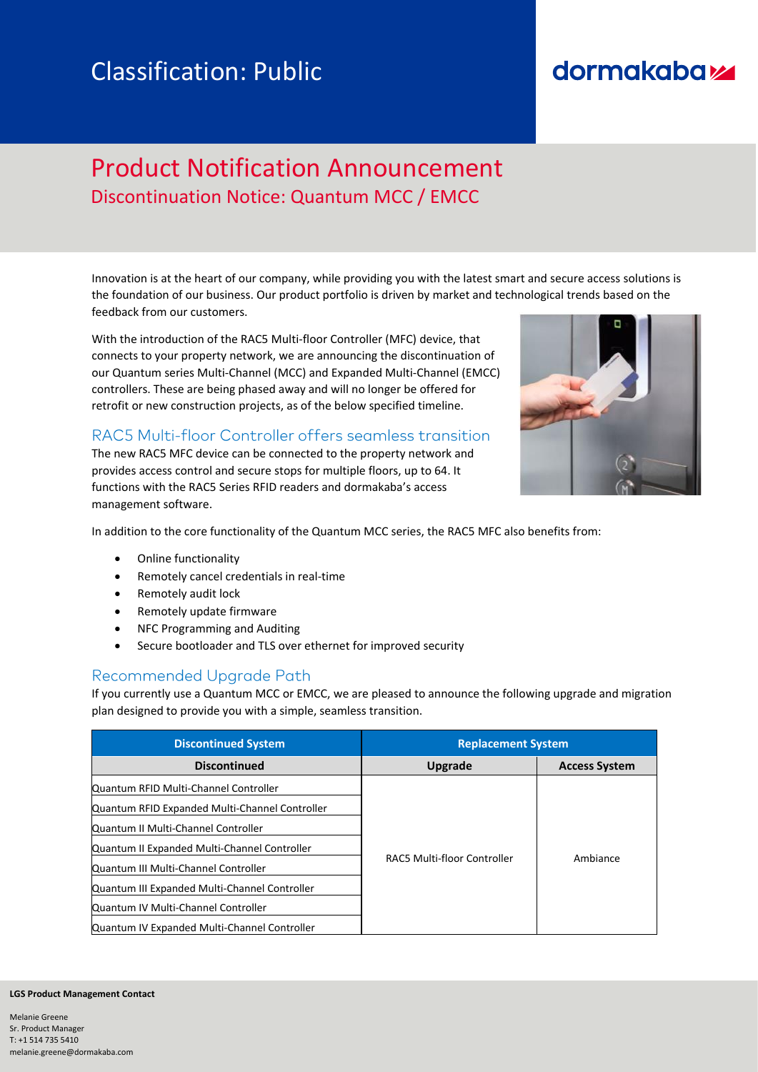# Classification: Public

## dormakabay

### Product Notification Announcement Discontinuation Notice: Quantum MCC / EMCC

Innovation is at the heart of our company, while providing you with the latest smart and secure access solutions is the foundation of our business. Our product portfolio is driven by market and technological trends based on the feedback from our customers.

With the introduction of the RAC5 Multi-floor Controller (MFC) device, that connects to your property network, we are announcing the discontinuation of our Quantum series Multi-Channel (MCC) and Expanded Multi-Channel (EMCC) controllers. These are being phased away and will no longer be offered for retrofit or new construction projects, as of the below specified timeline.

#### RAC5 Multi-floor Controller offers seamless transition

The new RAC5 MFC device can be connected to the property network and provides access control and secure stops for multiple floors, up to 64. It functions with the RAC5 Series RFID readers and dormakaba's access management software.



In addition to the core functionality of the Quantum MCC series, the RAC5 MFC also benefits from:

- Online functionality
- Remotely cancel credentials in real-time
- Remotely audit lock
- Remotely update firmware
- NFC Programming and Auditing
- Secure bootloader and TLS over ethernet for improved security

#### Recommended Upgrade Path

If you currently use a Quantum MCC or EMCC, we are pleased to announce the following upgrade and migration plan designed to provide you with a simple, seamless transition.

| <b>Discontinued System</b>                     | <b>Replacement System</b>   |                      |  |
|------------------------------------------------|-----------------------------|----------------------|--|
| <b>Discontinued</b>                            | Upgrade                     | <b>Access System</b> |  |
| Quantum RFID Multi-Channel Controller          |                             | Ambiance             |  |
| Quantum RFID Expanded Multi-Channel Controller |                             |                      |  |
| Quantum II Multi-Channel Controller            |                             |                      |  |
| Quantum II Expanded Multi-Channel Controller   |                             |                      |  |
| Quantum III Multi-Channel Controller           | RAC5 Multi-floor Controller |                      |  |
| Quantum III Expanded Multi-Channel Controller  |                             |                      |  |
| Quantum IV Multi-Channel Controller            |                             |                      |  |
| Quantum IV Expanded Multi-Channel Controller   |                             |                      |  |